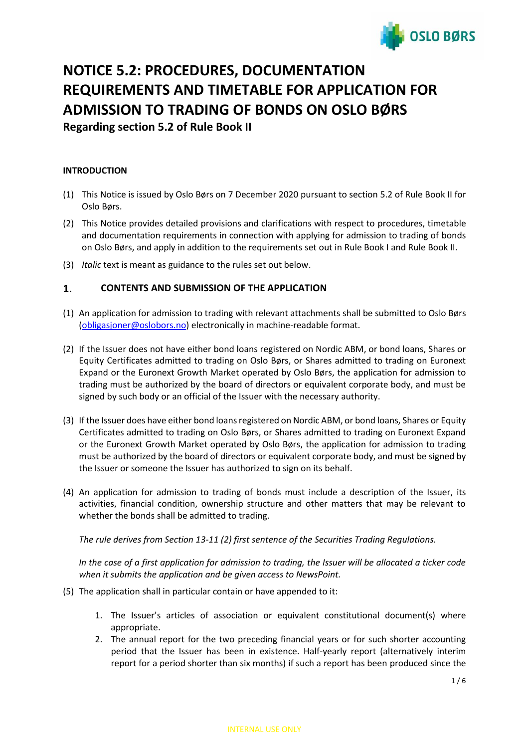# **OSLO BØRS**

## **NOTICE 5.2: PROCEDURES, DOCUMENTATION REQUIREMENTS AND TIMETABLE FOR APPLICATION FOR ADMISSION TO TRADING OF BONDS ON OSLO BØRS Regarding section 5.2 of Rule Book II**

## **INTRODUCTION**

- (1) This Notice is issued by Oslo Børs on 7 December 2020 pursuant to section 5.2 of Rule Book II for Oslo Børs.
- (2) This Notice provides detailed provisions and clarifications with respect to procedures, timetable and documentation requirements in connection with applying for admission to trading of bonds on Oslo Børs, and apply in addition to the requirements set out in Rule Book I and Rule Book II.
- (3) *Italic* text is meant as guidance to the rules set out below.

#### $1.$ **CONTENTS AND SUBMISSION OF THE APPLICATION**

- (1) An application for admission to trading with relevant attachments shall be submitted to Oslo Børs [\(obligasjoner@oslobors.no\)](mailto:obligasjoner@oslobors.no) electronically in machine-readable format.
- (2) If the Issuer does not have either bond loans registered on Nordic ABM, or bond loans, Shares or Equity Certificates admitted to trading on Oslo Børs, or Shares admitted to trading on Euronext Expand or the Euronext Growth Market operated by Oslo Børs, the application for admission to trading must be authorized by the board of directors or equivalent corporate body, and must be signed by such body or an official of the Issuer with the necessary authority.
- (3) If the Issuer does have either bond loans registered on Nordic ABM, or bond loans, Shares or Equity Certificates admitted to trading on Oslo Børs, or Shares admitted to trading on Euronext Expand or the Euronext Growth Market operated by Oslo Børs, the application for admission to trading must be authorized by the board of directors or equivalent corporate body, and must be signed by the Issuer or someone the Issuer has authorized to sign on its behalf.
- (4) An application for admission to trading of bonds must include a description of the Issuer, its activities, financial condition, ownership structure and other matters that may be relevant to whether the bonds shall be admitted to trading.

*The rule derives from Section 13-11 (2) first sentence of the Securities Trading Regulations.*

*In the case of a first application for admission to trading, the Issuer will be allocated a ticker code when it submits the application and be given access to NewsPoint.*

- (5) The application shall in particular contain or have appended to it:
	- 1. The Issuer's articles of association or equivalent constitutional document(s) where appropriate.
	- 2. The annual report for the two preceding financial years or for such shorter accounting period that the Issuer has been in existence. Half-yearly report (alternatively interim report for a period shorter than six months) if such a report has been produced since the

## INTERNAL USE ONLY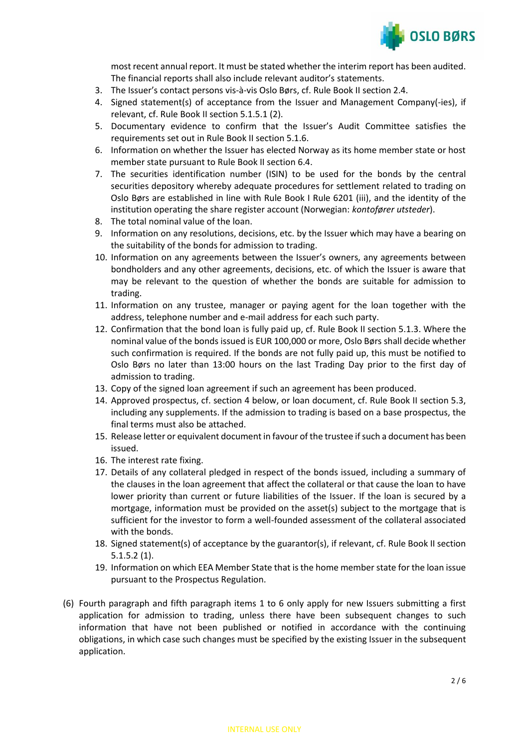

most recent annual report. It must be stated whether the interim report has been audited. The financial reports shall also include relevant auditor's statements.

- 3. The Issuer's contact persons vis-à-vis Oslo Børs, cf. Rule Book II section 2.4.
- 4. Signed statement(s) of acceptance from the Issuer and Management Company(-ies), if relevant, cf. Rule Book II section 5.1.5.1 (2).
- 5. Documentary evidence to confirm that the Issuer's Audit Committee satisfies the requirements set out in Rule Book II section 5.1.6.
- 6. Information on whether the Issuer has elected Norway as its home member state or host member state pursuant to Rule Book II section 6.4.
- 7. The securities identification number (ISIN) to be used for the bonds by the central securities depository whereby adequate procedures for settlement related to trading on Oslo Børs are established in line with Rule Book I Rule 6201 (iii), and the identity of the institution operating the share register account (Norwegian: *kontofører utsteder*).
- 8. The total nominal value of the loan.
- 9. Information on any resolutions, decisions, etc. by the Issuer which may have a bearing on the suitability of the bonds for admission to trading.
- 10. Information on any agreements between the Issuer's owners, any agreements between bondholders and any other agreements, decisions, etc. of which the Issuer is aware that may be relevant to the question of whether the bonds are suitable for admission to trading.
- 11. Information on any trustee, manager or paying agent for the loan together with the address, telephone number and e-mail address for each such party.
- 12. Confirmation that the bond loan is fully paid up, cf. Rule Book II section 5.1.3. Where the nominal value of the bonds issued is EUR 100,000 or more, Oslo Børs shall decide whether such confirmation is required. If the bonds are not fully paid up, this must be notified to Oslo Børs no later than 13:00 hours on the last Trading Day prior to the first day of admission to trading.
- 13. Copy of the signed loan agreement if such an agreement has been produced.
- 14. Approved prospectus, cf. section 4 below, or loan document, cf. Rule Book II section 5.3, including any supplements. If the admission to trading is based on a base prospectus, the final terms must also be attached.
- 15. Release letter or equivalent document in favour of the trustee if such a document has been issued.
- 16. The interest rate fixing.
- 17. Details of any collateral pledged in respect of the bonds issued, including a summary of the clauses in the loan agreement that affect the collateral or that cause the loan to have lower priority than current or future liabilities of the Issuer. If the loan is secured by a mortgage, information must be provided on the asset(s) subject to the mortgage that is sufficient for the investor to form a well-founded assessment of the collateral associated with the bonds.
- 18. Signed statement(s) of acceptance by the guarantor(s), if relevant, cf. Rule Book II section 5.1.5.2 (1).
- 19. Information on which EEA Member State that is the home member state for the loan issue pursuant to the Prospectus Regulation.
- (6) Fourth paragraph and fifth paragraph items 1 to 6 only apply for new Issuers submitting a first application for admission to trading, unless there have been subsequent changes to such information that have not been published or notified in accordance with the continuing obligations, in which case such changes must be specified by the existing Issuer in the subsequent application.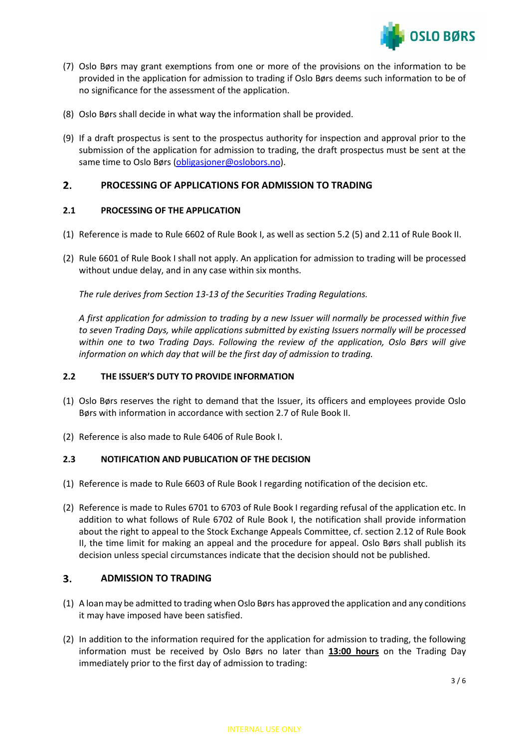

- (7) Oslo Børs may grant exemptions from one or more of the provisions on the information to be provided in the application for admission to trading if Oslo Børs deems such information to be of no significance for the assessment of the application.
- (8) Oslo Børs shall decide in what way the information shall be provided.
- (9) If a draft prospectus is sent to the prospectus authority for inspection and approval prior to the submission of the application for admission to trading, the draft prospectus must be sent at the same time to Oslo Børs [\(obligasjoner@oslobors.no\)](mailto:obligasjoner@oslobors.no).

#### **PROCESSING OF APPLICATIONS FOR ADMISSION TO TRADING**  $2.$

## **2.1 PROCESSING OF THE APPLICATION**

- (1) Reference is made to Rule 6602 of Rule Book I, as well as section 5.2 (5) and 2.11 of Rule Book II.
- (2) Rule 6601 of Rule Book I shall not apply. An application for admission to trading will be processed without undue delay, and in any case within six months.

*The rule derives from Section 13-13 of the Securities Trading Regulations.* 

*A first application for admission to trading by a new Issuer will normally be processed within five to seven Trading Days, while applications submitted by existing Issuers normally will be processed within one to two Trading Days. Following the review of the application, Oslo Børs will give information on which day that will be the first day of admission to trading.*

## **2.2 THE ISSUER'S DUTY TO PROVIDE INFORMATION**

- (1) Oslo Børs reserves the right to demand that the Issuer, its officers and employees provide Oslo Børs with information in accordance with section 2.7 of Rule Book II.
- (2) Reference is also made to Rule 6406 of Rule Book I.

## **2.3 NOTIFICATION AND PUBLICATION OF THE DECISION**

- (1) Reference is made to Rule 6603 of Rule Book I regarding notification of the decision etc.
- (2) Reference is made to Rules 6701 to 6703 of Rule Book I regarding refusal of the application etc. In addition to what follows of Rule 6702 of Rule Book I, the notification shall provide information about the right to appeal to the Stock Exchange Appeals Committee, cf. section 2.12 of Rule Book II, the time limit for making an appeal and the procedure for appeal. Oslo Børs shall publish its decision unless special circumstances indicate that the decision should not be published.

#### $3.$ **ADMISSION TO TRADING**

- (1) A loan may be admitted to trading when Oslo Børs has approved the application and any conditions it may have imposed have been satisfied.
- (2) In addition to the information required for the application for admission to trading, the following information must be received by Oslo Børs no later than **13:00 hours** on the Trading Day immediately prior to the first day of admission to trading: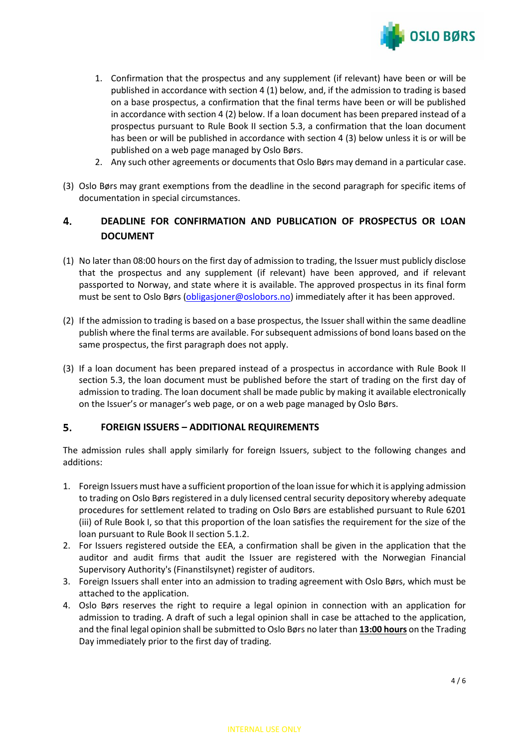

- 1. Confirmation that the prospectus and any supplement (if relevant) have been or will be published in accordance with section 4 (1) below, and, if the admission to trading is based on a base prospectus, a confirmation that the final terms have been or will be published in accordance with section 4 (2) below. If a loan document has been prepared instead of a prospectus pursuant to Rule Book II section 5.3, a confirmation that the loan document has been or will be published in accordance with section 4 (3) below unless it is or will be published on a web page managed by Oslo Børs.
- 2. Any such other agreements or documents that Oslo Børs may demand in a particular case.
- (3) Oslo Børs may grant exemptions from the deadline in the second paragraph for specific items of documentation in special circumstances.

### 4. **DEADLINE FOR CONFIRMATION AND PUBLICATION OF PROSPECTUS OR LOAN DOCUMENT**

- (1) No later than 08:00 hours on the first day of admission to trading, the Issuer must publicly disclose that the prospectus and any supplement (if relevant) have been approved, and if relevant passported to Norway, and state where it is available. The approved prospectus in its final form must be sent to Oslo Børs [\(obligasjoner@oslobors.no\)](mailto:obligasjoner@oslobors.no) immediately after it has been approved.
- (2) If the admission to trading is based on a base prospectus, the Issuer shall within the same deadline publish where the final terms are available. For subsequent admissions of bond loans based on the same prospectus, the first paragraph does not apply.
- (3) If a loan document has been prepared instead of a prospectus in accordance with Rule Book II section 5.3, the loan document must be published before the start of trading on the first day of admission to trading. The loan document shall be made public by making it available electronically on the Issuer's or manager's web page, or on a web page managed by Oslo Børs.

#### 5. **FOREIGN ISSUERS – ADDITIONAL REQUIREMENTS**

The admission rules shall apply similarly for foreign Issuers, subject to the following changes and additions:

- 1. Foreign Issuers must have a sufficient proportion of the loan issue for which it is applying admission to trading on Oslo Børs registered in a duly licensed central security depository whereby adequate procedures for settlement related to trading on Oslo Børs are established pursuant to Rule 6201 (iii) of Rule Book I, so that this proportion of the loan satisfies the requirement for the size of the loan pursuant to Rule Book II section 5.1.2.
- 2. For Issuers registered outside the EEA, a confirmation shall be given in the application that the auditor and audit firms that audit the Issuer are registered with the Norwegian Financial Supervisory Authority's (Finanstilsynet) register of auditors.
- 3. Foreign Issuers shall enter into an admission to trading agreement with Oslo Børs, which must be attached to the application.
- 4. Oslo Børs reserves the right to require a legal opinion in connection with an application for admission to trading. A draft of such a legal opinion shall in case be attached to the application, and the final legal opinion shall be submitted to Oslo Børs no later than **13:00 hours** on the Trading Day immediately prior to the first day of trading.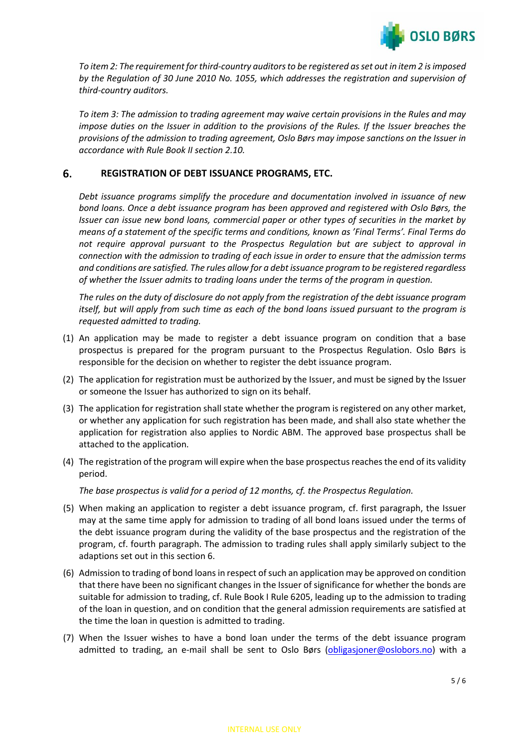

*To item 2: The requirement for third-country auditors to be registered as set out in item 2 is imposed by the Regulation of 30 June 2010 No. 1055, which addresses the registration and supervision of third-country auditors.*

*To item 3: The admission to trading agreement may waive certain provisions in the Rules and may impose duties on the Issuer in addition to the provisions of the Rules. If the Issuer breaches the provisions of the admission to trading agreement, Oslo Børs may impose sanctions on the Issuer in accordance with Rule Book II section 2.10.*

#### 6. **REGISTRATION OF DEBT ISSUANCE PROGRAMS, ETC.**

*Debt issuance programs simplify the procedure and documentation involved in issuance of new bond loans. Once a debt issuance program has been approved and registered with Oslo Børs, the Issuer can issue new bond loans, commercial paper or other types of securities in the market by means of a statement of the specific terms and conditions, known as 'Final Terms'. Final Terms do not require approval pursuant to the Prospectus Regulation but are subject to approval in connection with the admission to trading of each issue in order to ensure that the admission terms and conditions are satisfied. The rules allow for a debt issuance program to be registered regardless of whether the Issuer admits to trading loans under the terms of the program in question.*

*The rules on the duty of disclosure do not apply from the registration of the debt issuance program itself, but will apply from such time as each of the bond loans issued pursuant to the program is requested admitted to trading.*

- (1) An application may be made to register a debt issuance program on condition that a base prospectus is prepared for the program pursuant to the Prospectus Regulation. Oslo Børs is responsible for the decision on whether to register the debt issuance program.
- (2) The application for registration must be authorized by the Issuer, and must be signed by the Issuer or someone the Issuer has authorized to sign on its behalf.
- (3) The application for registration shall state whether the program is registered on any other market, or whether any application for such registration has been made, and shall also state whether the application for registration also applies to Nordic ABM. The approved base prospectus shall be attached to the application.
- (4) The registration of the program will expire when the base prospectus reaches the end of its validity period.

*The base prospectus is valid for a period of 12 months, cf. the Prospectus Regulation.*

- (5) When making an application to register a debt issuance program, cf. first paragraph, the Issuer may at the same time apply for admission to trading of all bond loans issued under the terms of the debt issuance program during the validity of the base prospectus and the registration of the program, cf. fourth paragraph. The admission to trading rules shall apply similarly subject to the adaptions set out in this section 6.
- (6) Admission to trading of bond loans in respect of such an application may be approved on condition that there have been no significant changes in the Issuer of significance for whether the bonds are suitable for admission to trading, cf. Rule Book I Rule 6205, leading up to the admission to trading of the loan in question, and on condition that the general admission requirements are satisfied at the time the loan in question is admitted to trading.
- (7) When the Issuer wishes to have a bond loan under the terms of the debt issuance program admitted to trading, an e-mail shall be sent to Oslo Børs [\(obligasjoner@oslobors.no\)](mailto:obligasjoner@oslobors.no) with a